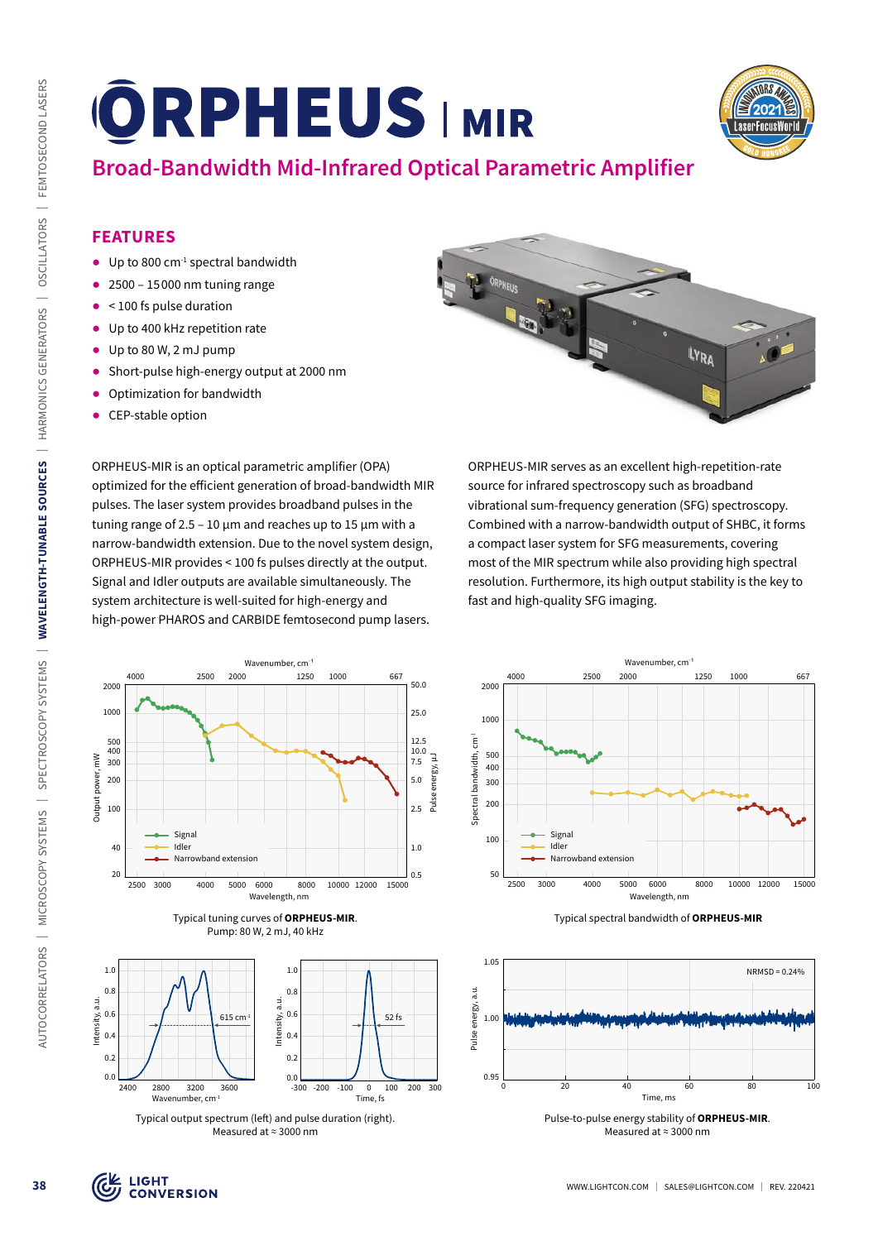

# **Broad-Bandwidth Mid-Infrared Optical Parametric Amplifier**

# **FEATURES**

- $\bullet$  Up to 800 cm<sup>-1</sup> spectral bandwidth
- $\bullet$  2500 15000 nm tuning range
- ᰋ < 100 fs pulse duration
- Up to 400 kHz repetition rate
- $\bullet$  Up to 80 W, 2 mJ pump
- ᰋ Short-pulse high-energy output at 2000 nm
- Optimization for bandwidth
- CEP-stable option

ORPHEUS-MIR is an optical parametric amplifier (OPA) optimized for the efficient generation of broad-bandwidth MIR pulses. The laser system provides broadband pulses in the tuning range of 2.5 - 10  $\mu$ m and reaches up to 15  $\mu$ m with a narrow-bandwidth extension. Due to the novel system design, ORPHEUS-MIR provides < 100 fs pulses directly at the output. Signal and Idler outputs are available simultaneously. The system architecture is well-suited for high-energy and high-power PHAROS and CARBIDE femtosecond pump lasers.



ORPHEUS-MIR serves as an excellent high-repetition-rate source for infrared spectroscopy such as broadband vibrational sum-frequency generation (SFG) spectroscopy. Combined with a narrow-bandwidth output of SHBC, it forms a compact laser system for SFG measurements, covering most of the MIR spectrum while also providing high spectral resolution. Furthermore, its high output stability is the key to fast and high-quality SFG imaging.







Typical output spectrum (left) and pulse duration (right). Measured at ≈ 3000 nm







Pulse-to-pulse energy stability of **ORPHEUS-MIR**. Measured at ≈ 3000 nm